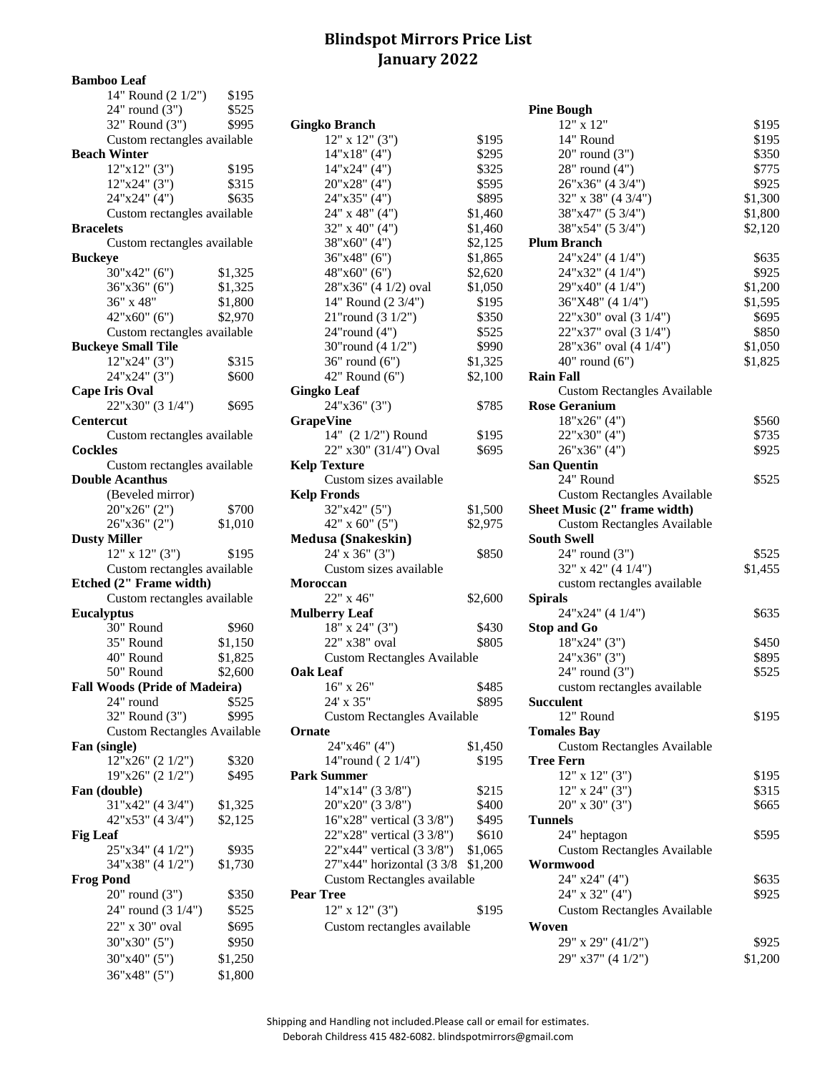## **Blindspot Mirrors Price List January 2022**

**Bamboo Leaf**

| 14" Round (2 1/2")                   | \$195   |                                    |         |                    |
|--------------------------------------|---------|------------------------------------|---------|--------------------|
| $24"$ round $(3")$                   | \$525   |                                    |         | <b>Pine Bough</b>  |
| 32" Round (3")                       | \$995   | <b>Gingko Branch</b>               |         | 12" x              |
| Custom rectangles available          |         | $12"$ x $12"$ (3")                 | \$195   | 14" Ro             |
| <b>Beach Winter</b>                  |         | 14"x18" (4")                       | \$295   | 20" ro             |
| $12"x12"$ (3")                       | \$195   | 14"x24" (4")                       | \$325   | 28" ro             |
| 12"x24" (3")                         | \$315   | 20"x28" (4")                       | \$595   | 26"x36             |
| 24"x24" (4")                         | \$635   | 24"x35" (4")                       | \$895   | 32" x 3            |
| Custom rectangles available          |         | 24" x 48" (4")                     | \$1,460 | 38"x47             |
| <b>Bracelets</b>                     |         | 32" x 40" (4")                     | \$1,460 | 38"x54             |
| Custom rectangles available          |         | 38"x60" (4")                       | \$2,125 | <b>Plum Brand</b>  |
| <b>Buckeye</b>                       |         | 36"x48" (6")                       | \$1,865 | 24"x24             |
| 30"x42" (6")                         | \$1,325 | 48"x60" (6")                       | \$2,620 | 24"x32             |
| 36"x36" (6")                         | \$1,325 | 28"x36" (4 1/2) oval               | \$1,050 | 29"x40             |
| 36" x 48"                            | \$1,800 | 14" Round (2 3/4")                 | \$195   | 36"X4              |
| 42"x60" (6")                         | \$2,970 | 21"round (3 1/2")                  | \$350   | 22"x30             |
| Custom rectangles available          |         | $24$ "round $(4")$                 | \$525   | 22"x37             |
| <b>Buckeye Small Tile</b>            |         | 30"round (4 1/2")                  | \$990   | 28"x36             |
| 12"x24" (3")                         | \$315   | $36"$ round $(6")$                 | \$1,325 | 40" ro             |
| 24"x24" (3")                         | \$600   | 42" Round (6")                     | \$2,100 | <b>Rain Fall</b>   |
| <b>Cape Iris Oval</b>                |         | <b>Gingko Leaf</b>                 |         | Custor             |
| 22"x30" (3 1/4")                     | \$695   | 24"x36" (3")                       | \$785   | <b>Rose Geran</b>  |
| <b>Centercut</b>                     |         | <b>GrapeVine</b>                   |         | 18"x2              |
| Custom rectangles available          |         | 14" (2 1/2") Round                 | \$195   | 22"x30             |
| <b>Cockles</b>                       |         | 22" x30" (31/4") Oval              | \$695   | 26"x36             |
| Custom rectangles available          |         | <b>Kelp Texture</b>                |         | San Quenti         |
| <b>Double Acanthus</b>               |         | Custom sizes available             |         | 24" Ro             |
| (Beveled mirror)                     |         | <b>Kelp Fronds</b>                 |         | Custor             |
| 20"x26" (2")                         | \$700   | 32"x42" (5")                       | \$1,500 | <b>Sheet Music</b> |
| 26"x36" (2")                         | \$1,010 | 42" x 60" $(5")$                   | \$2,975 | Custor             |
| <b>Dusty Miller</b>                  |         | <b>Medusa (Snakeskin)</b>          |         | <b>South Swell</b> |
| $12"$ x $12"$ (3")                   | \$195   | 24' x 36" (3")                     | \$850   | 24" ro             |
| Custom rectangles available          |         | Custom sizes available             |         | 32" x 4            |
| Etched (2" Frame width)              |         | Moroccan                           |         | custon             |
| Custom rectangles available          |         | 22" x 46"                          | \$2,600 | <b>Spirals</b>     |
| <b>Eucalyptus</b>                    |         | <b>Mulberry Leaf</b>               |         | 24"x24             |
| 30" Round                            | \$960   | $18"$ x $24"$ (3")                 | \$430   | Stop and G         |
| 35" Round                            | \$1,150 | 22" x38" oval                      | \$805   | 18"x24             |
| 40" Round                            | \$1,825 | <b>Custom Rectangles Available</b> |         | 24"x36             |
| 50" Round                            | \$2,600 | <b>Oak Leaf</b>                    |         | 24" ro             |
| <b>Fall Woods (Pride of Madeira)</b> |         | 16" x 26"                          | \$485   | custon             |
| 24" round                            | \$525   | 24' x 35"                          | \$895   | <b>Succulent</b>   |
| 32" Round (3")                       | \$995   | <b>Custom Rectangles Available</b> |         | 12" Ro             |
| <b>Custom Rectangles Available</b>   |         | Ornate                             |         | <b>Tomales Ba</b>  |
| Fan (single)                         |         | 24"x46" (4")                       | \$1,450 | Custor             |
| 12"x26" (2 1/2")                     | \$320   | 14"round (2 1/4")                  | \$195   | <b>Tree Fern</b>   |
| 19"x26" (2 1/2")                     | \$495   | <b>Park Summer</b>                 |         | 12" x              |
| Fan (double)                         |         | $14"x14"$ (3 3/8")                 | \$215   | $12"$ x 2          |
| 31"x42" (4 3/4")                     | \$1,325 | 20"x20" (3 3/8")                   | \$400   | 20" x 3            |
| 42"x53" (4 3/4")                     | \$2,125 | 16"x28" vertical (3 3/8")          | \$495   | <b>Tunnels</b>     |
| <b>Fig Leaf</b>                      |         | 22"x28" vertical (3 3/8")          | \$610   | 24" he             |
| 25"x34" (4 1/2")                     | \$935   | 22"x44" vertical (3 3/8")          | \$1,065 | Custor             |
| 34"x38" (4 1/2")                     | \$1,730 | 27"x44" horizontal (3 3/8 \$1,200  |         | Wormwood           |
| <b>Frog Pond</b>                     |         | Custom Rectangles available        |         | 24" x2             |
| $20"$ round $(3")$                   | \$350   | <b>Pear Tree</b>                   |         | $24"$ x $3$        |
| 24" round (3 1/4")                   | \$525   | $12"$ x $12"$ (3")                 | \$195   | Custor             |
| 22" x 30" oval                       | \$695   | Custom rectangles available        |         | Woven              |
| 30"x30" (5")                         | \$950   |                                    |         | 29" x 2            |
| 30"x40" (5")                         | \$1,250 |                                    |         | 29" x3             |
| 36"x48" (5")                         | \$1,800 |                                    |         |                    |
|                                      |         |                                    |         |                    |

| $2 + 10$ und $(3)$                 | رے رہ   |                                      |         | 1 me pougn                         |
|------------------------------------|---------|--------------------------------------|---------|------------------------------------|
| 32" Round (3")                     | \$995   | <b>Gingko Branch</b>                 |         | $12"$ x $12"$                      |
| Custom rectangles available        |         | $12"$ x $12"$ (3")                   | \$195   | 14" Round                          |
| <b>Beach Winter</b>                |         | 14"x18" (4")                         | \$295   | $20"$ round $(3")$                 |
| $12"x12"$ (3")                     | \$195   | 14"x24" (4")                         | \$325   | 28" round (4")                     |
| 12"x24" (3")                       | \$315   | 20"x28" (4")                         | \$595   | 26"x36" (4 3/4")                   |
| 24"x24" (4")                       | \$635   | 24"x35" (4")                         | \$895   | 32" x 38" (4 3/4")                 |
| Custom rectangles available        |         | $24$ " x 48" (4")                    | \$1,460 | 38"x47" (5 3/4")                   |
| <b>Bracelets</b>                   |         | $32$ " x 40" (4")                    | \$1,460 | 38"x54" (5 3/4")                   |
| Custom rectangles available        |         | 38"x60" (4")                         | \$2,125 | <b>Plum Branch</b>                 |
| <b>Buckeye</b>                     |         | 36"x48" (6")                         | \$1,865 | 24"x24" (4 1/4")                   |
| 30"x42" (6")                       | \$1,325 | 48"x60" (6")                         | \$2,620 | 24"x32" (4 1/4")                   |
| 36"x36" (6")                       | \$1,325 | 28"x36" (4 1/2) oval                 | \$1,050 | 29"x40" (4 1/4")                   |
| 36" x 48"                          | \$1,800 | 14" Round (2 3/4")                   | \$195   | 36"X48" (4 1/4")                   |
| 42"x60" (6")                       | \$2,970 | 21"round $(3\ 1/2")$                 | \$350   | 22"x30" oval (3 1/4")              |
| Custom rectangles available        |         | 24"round (4")                        | \$525   | 22"x37" oval (3 1/4")              |
| <b>Buckeye Small Tile</b>          |         | 30"round (4 1/2")                    | \$990   | 28"x36" oval (4 1/4")              |
| 12"x24" (3")                       | \$315   | $36"$ round $(6")$                   | \$1,325 | $40"$ round $(6")$                 |
| 24"x24" (3")                       | \$600   | 42" Round (6")                       | \$2,100 | <b>Rain Fall</b>                   |
| <b>Cape Iris Oval</b>              |         | <b>Gingko Leaf</b>                   |         | <b>Custom Rectangles Available</b> |
| 22"x30" (3 1/4")                   | \$695   | 24"x36" (3")                         | \$785   | <b>Rose Geranium</b>               |
|                                    |         |                                      |         |                                    |
| Centercut                          |         | <b>GrapeVine</b>                     |         | 18"x26" (4")                       |
| Custom rectangles available        |         | 14" (2 1/2") Round                   | \$195   | 22"x30" (4")                       |
| <b>Cockles</b>                     |         | 22" x30" (31/4") Oval                | \$695   | 26"x36" (4")                       |
| Custom rectangles available        |         | <b>Kelp Texture</b>                  |         | <b>San Quentin</b>                 |
| <b>Double Acanthus</b>             |         | Custom sizes available               |         | 24" Round                          |
| (Beveled mirror)                   |         | <b>Kelp Fronds</b>                   |         | <b>Custom Rectangles Available</b> |
| 20"x26" (2")                       | \$700   | 32"x42" (5")                         | \$1,500 | Sheet Music (2" frame width)       |
| 26"x36" (2")                       | \$1,010 | 42" x 60" (5")                       | \$2,975 | <b>Custom Rectangles Available</b> |
| <b>Dusty Miller</b>                |         | <b>Medusa (Snakeskin)</b>            |         | <b>South Swell</b>                 |
| $12"$ x $12"$ (3")                 | \$195   | $24'$ x 36" (3")                     | \$850   | $24"$ round $(3")$                 |
| Custom rectangles available        |         | Custom sizes available               |         | 32" x 42" (4 1/4")                 |
| Etched (2" Frame width)            |         | Moroccan                             |         | custom rectangles available        |
| Custom rectangles available        |         | 22" x 46"                            | \$2,600 | <b>Spirals</b>                     |
| <b>Eucalyptus</b>                  |         | <b>Mulberry Leaf</b>                 |         | 24"x24" (4 1/4")                   |
| 30" Round                          | \$960   | $18"$ x $24"$ (3")                   | \$430   | <b>Stop and Go</b>                 |
| 35" Round                          | \$1,150 | 22" x38" oval                        | \$805   | 18"x24" (3")                       |
| 40" Round                          | \$1,825 | <b>Custom Rectangles Available</b>   |         | 24"x36" (3")                       |
| 50" Round                          | \$2,600 | <b>Oak Leaf</b>                      |         | $24"$ round $(3")$                 |
| Fall Woods (Pride of Madeira)      |         | 16" x 26"                            | \$485   | custom rectangles available        |
| 24" round                          | \$525   | 24' x 35"                            | \$895   | <b>Succulent</b>                   |
| 32" Round (3")                     | \$995   | <b>Custom Rectangles Available</b>   |         | 12" Round                          |
| <b>Custom Rectangles Available</b> |         | Ornate                               |         | <b>Tomales Bay</b>                 |
| Fan (single)                       |         | 24"x46" (4")                         | \$1,450 | <b>Custom Rectangles Available</b> |
| 12"x26" (2 1/2")                   | \$320   | 14"round (2 1/4")                    | \$195   | <b>Tree Fern</b>                   |
| 19"x26" (2 1/2")                   | \$495   | <b>Park Summer</b>                   |         | $12"$ x $12"$ (3")                 |
| Fan (double)                       |         | $14"x14"$ (3 3/8")                   | \$215   | $12"$ x $24"$ (3")                 |
| 31"x42" (4 3/4")                   | \$1,325 | 20"x20" (3 3/8")                     | \$400   | $20''$ x $30''$ $(3'')$            |
| 42"x53" (4 3/4")                   | \$2,125 | $16"x28"$ vertical $(3\frac{3}{8")}$ | \$495   | <b>Tunnels</b>                     |
| <b>Fig Leaf</b>                    |         | 22"x28" vertical (3 3/8")            | \$610   | 24" heptagon                       |
| 25"x34" (4 1/2")                   | \$935   | 22"x44" vertical (3 3/8")            | \$1,065 | <b>Custom Rectangles Available</b> |
| 34"x38" (4 1/2")                   | \$1,730 | 27"x44" horizontal (3 3/8 \$1,200    |         | Wormwood                           |
| <b>Frog Pond</b>                   |         | Custom Rectangles available          |         | 24" x24" (4")                      |
| $20"$ round $(3")$                 | \$350   | <b>Pear Tree</b>                     |         | 24" x 32" (4")                     |
| 24" round (3 1/4")                 | \$525   | $12"$ x $12"$ (3")                   | \$195   | <b>Custom Rectangles Available</b> |
|                                    |         |                                      |         |                                    |
| 22" x 30" oval                     | \$695   | Custom rectangles available          |         | Woven                              |
| 30"x30" (5")                       | \$950   |                                      |         | 29" x 29" (41/2")                  |

|                 | $\cdots$<br>$24$ " round $(3")$    | \$525   |                                    |         | <b>Pine Bough</b>                  |         |
|-----------------|------------------------------------|---------|------------------------------------|---------|------------------------------------|---------|
|                 | 32" Round (3")                     | \$995   | <b>Gingko Branch</b>               |         | 12" x 12"                          | \$195   |
|                 | Custom rectangles available        |         | $12"$ x $12"$ (3")                 | \$195   | 14" Round                          | \$195   |
|                 | <b>Beach Winter</b>                |         | 14"x18" (4")                       | \$295   | $20"$ round $(3")$                 | \$350   |
|                 | $12"x12"$ (3")                     | \$195   | 14"x24" (4")                       | \$325   | $28"$ round $(4")$                 | \$775   |
|                 | 12"x24" (3")                       | \$315   | 20"x28" (4")                       | \$595   | 26"x36" (4 3/4")                   | \$925   |
|                 | 24"x24" (4")                       | \$635   | 24"x35" (4")                       | \$895   | 32" x 38" (4 3/4")                 | \$1,300 |
|                 | Custom rectangles available        |         | $24"$ x 48" (4")                   | \$1,460 | 38"x47" (5 3/4")                   | \$1,800 |
|                 | <b>Bracelets</b>                   |         | $32$ " x 40" (4")                  | \$1,460 | 38"x54" (5 3/4")                   | \$2,120 |
|                 | Custom rectangles available        |         | 38"x60" (4")                       | \$2,125 | <b>Plum Branch</b>                 |         |
| <b>Buckeye</b>  |                                    |         | 36"x48" (6")                       | \$1,865 | 24"x24" (4 1/4")                   | \$635   |
|                 | 30"x42" (6")                       | \$1,325 | 48"x60" (6")                       | \$2,620 | 24"x32" (4 1/4")                   | \$925   |
|                 | 36"x36" (6")                       | \$1,325 | 28"x36" (4 1/2) oval               | \$1,050 | 29"x40" (4 1/4")                   | \$1,200 |
|                 | 36" x 48"                          | \$1,800 | 14" Round (2 3/4")                 | \$195   | 36"X48" (4 1/4")                   | \$1,595 |
|                 | 42"x60" (6")                       | \$2,970 | 21"round $(3\ 1/2")$               | \$350   | 22"x30" oval (3 1/4")              | \$695   |
|                 | Custom rectangles available        |         | 24"round (4")                      | \$525   | 22"x37" oval (3 1/4")              | \$850   |
|                 | <b>Buckeye Small Tile</b>          |         | 30"round (4 1/2")                  | \$990   | 28"x36" oval (4 1/4")              | \$1,050 |
|                 | 12"x24" (3")                       | \$315   | $36"$ round $(6")$                 | \$1,325 | $40"$ round $(6")$                 | \$1,825 |
|                 | 24"x24" (3")                       | \$600   | 42" Round (6")                     | \$2,100 | <b>Rain Fall</b>                   |         |
|                 | <b>Cape Iris Oval</b>              |         | <b>Gingko Leaf</b>                 |         | <b>Custom Rectangles Available</b> |         |
|                 | 22"x30" (3 1/4")                   | \$695   | 24"x36" (3")                       | \$785   | <b>Rose Geranium</b>               |         |
|                 | Centercut                          |         | <b>GrapeVine</b>                   |         | 18"x26" (4")                       | \$560   |
|                 | Custom rectangles available        |         | 14" (2 1/2") Round                 | \$195   | 22"x30" (4")                       | \$735   |
| Cockles         |                                    |         | 22" x30" (31/4") Oval              | \$695   | 26"x36" (4")                       | \$925   |
|                 | Custom rectangles available        |         | <b>Kelp Texture</b>                |         | <b>San Quentin</b>                 |         |
|                 | <b>Double Acanthus</b>             |         | Custom sizes available             |         | 24" Round                          | \$525   |
|                 | (Beveled mirror)                   |         | <b>Kelp Fronds</b>                 |         | <b>Custom Rectangles Available</b> |         |
|                 | 20"x26" (2")                       | \$700   | 32"x42" (5")                       | \$1,500 | Sheet Music (2" frame width)       |         |
|                 | 26"x36" (2")                       | \$1,010 | 42" x 60" $(5")$                   | \$2,975 | <b>Custom Rectangles Available</b> |         |
|                 | <b>Dusty Miller</b>                |         | <b>Medusa (Snakeskin)</b>          |         | <b>South Swell</b>                 |         |
|                 | $12"$ x $12"$ (3")                 | \$195   | 24' x 36" (3")                     | \$850   | $24"$ round $(3")$                 | \$525   |
|                 | Custom rectangles available        |         | Custom sizes available             |         | 32" x 42" (4 $1/4$ ")              | \$1,455 |
|                 | Etched (2" Frame width)            |         | Moroccan                           |         | custom rectangles available        |         |
|                 | Custom rectangles available        |         | 22" x 46"                          | \$2,600 | <b>Spirals</b>                     |         |
|                 | <b>Eucalyptus</b>                  |         | <b>Mulberry Leaf</b>               |         | 24"x24" (4 1/4")                   | \$635   |
|                 | 30" Round                          | \$960   | $18"$ x 24" (3")                   | \$430   | Stop and Go                        |         |
|                 | 35" Round                          | \$1,150 | 22" x38" oval                      | \$805   | 18"x24" (3")                       | \$450   |
|                 | 40" Round                          | \$1,825 | <b>Custom Rectangles Available</b> |         | 24"x36" (3")                       | \$895   |
|                 | 50" Round                          | \$2,600 | <b>Oak Leaf</b>                    |         | $24"$ round $(3")$                 | \$525   |
|                 | Fall Woods (Pride of Madeira)      |         | $16"$ x $26"$                      | \$485   | custom rectangles available        |         |
|                 | 24" round                          | \$525   | 24' x 35"                          | \$895   | <b>Succulent</b>                   |         |
|                 | 32" Round (3")                     | \$995   | <b>Custom Rectangles Available</b> |         | 12" Round                          | \$195   |
|                 | <b>Custom Rectangles Available</b> |         | Ornate                             |         | <b>Tomales Bay</b>                 |         |
|                 | Fan (single)                       |         | 24"x46" (4")                       | \$1,450 | <b>Custom Rectangles Available</b> |         |
|                 | 12"x26" (2 1/2")                   | \$320   | 14"round $(21/4")$                 | \$195   | <b>Tree Fern</b>                   |         |
|                 | 19"x26" (2 1/2")                   | \$495   | <b>Park Summer</b>                 |         | $12"$ x $12"$ (3")                 | \$195   |
|                 | Fan (double)                       |         | $14"x14"$ (3 3/8")                 | \$215   | $12"$ x $24"$ (3")                 | \$315   |
|                 | 31"x42" (4 3/4")                   | \$1,325 | 20"x20" (3 3/8")                   | \$400   | 20" x 30" (3")                     | \$665   |
|                 | 42"x53" (4 3/4")                   | \$2,125 | 16"x28" vertical (3 3/8")          | \$495   | <b>Tunnels</b>                     |         |
| <b>Fig Leaf</b> |                                    |         | 22"x28" vertical (3 3/8")          | \$610   | 24" heptagon                       | \$595   |
|                 | 25"x34" (4 1/2")                   | \$935   | 22"x44" vertical (3 3/8")          | \$1,065 | <b>Custom Rectangles Available</b> |         |
|                 | 34"x38" (4 1/2")                   | \$1,730 | 27"x44" horizontal (3 3/8 \$1,200  |         | Wormwood                           |         |
|                 | <b>Frog Pond</b>                   |         | <b>Custom Rectangles available</b> |         | 24" x24" (4")                      | \$635   |
|                 | $20"$ round $(3")$                 | \$350   | <b>Pear Tree</b>                   |         | 24" x 32" (4")                     | \$925   |
|                 | 24" round (3 1/4")                 | \$525   | $12"$ x $12"$ (3")                 | \$195   | <b>Custom Rectangles Available</b> |         |
|                 |                                    |         |                                    |         |                                    |         |
|                 | 22" x 30" oval                     | \$695   | Custom rectangles available        |         | Woven                              |         |
|                 | 30"x30" (5")                       | \$950   |                                    |         | 29" x 29" (41/2")                  | \$925   |
|                 | 30"x40" (5")                       | \$1,250 |                                    |         | 29" x37" (4 1/2")                  | \$1,200 |